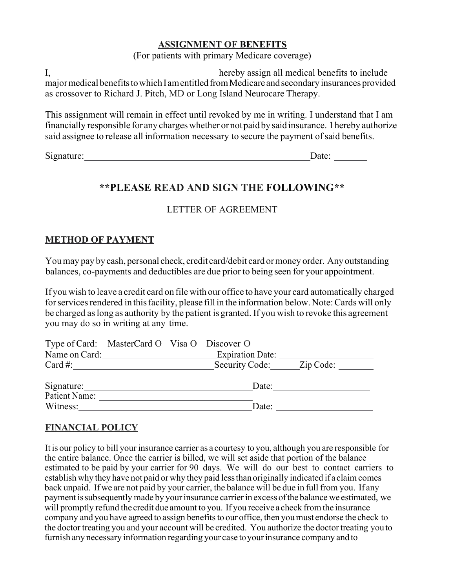#### **ASSIGNMENT OF BENEFITS**

(For patients with primary Medicare coverage)

I, hereby assign all medical benefits to include major medical benefits to which I am entitled from Medicare and secondary insurances provided as crossover to Richard J. Pitch, MD or Long Island Neurocare Therapy.

This assignment will remain in effect until revoked by me in writing. I understand that I am financially responsible for any chargeswhether or notpaid by said insurance. 1hereby authorize said assignee to release all information necessary to secure the payment of said benefits.

Signature: Date: Development and the set of the set of the set of the set of the set of the set of the set of the set of the set of the set of the set of the set of the set of the set of the set of the set of the set of th

## **\*\*PLEASE READ AND SIGN THE FOLLOWING\*\***

### LETTER OF AGREEMENT

### **METHOD OF PAYMENT**

Youmay pay by cash, personal check, credit card/debit card ormoney order. Any outstanding balances, co-payments and deductibles are due prior to being seen for your appointment.

If you wish to leave a credit card on file with our office to have your card automatically charged for services rendered in this facility, please fill in the information below. Note: Cards will only be charged aslong as authority by the patient is granted. If you wish to revoke this agreement you may do so in writing at any time.

|               | Type of Card: MasterCard O Visa O Discover O |                          |  |
|---------------|----------------------------------------------|--------------------------|--|
| Name on Card: |                                              | <b>Expiration Date:</b>  |  |
| Card #:       |                                              | Security Code: Zip Code: |  |
|               |                                              |                          |  |
| Signature:    |                                              | Date:                    |  |
| Patient Name: |                                              |                          |  |
| Witness:      |                                              | Date:                    |  |

### **FINANCIAL POLICY**

It is our policy to bill your insurance carrier as a courtesy to you, although you are responsible for the entire balance. Once the carrier is billed, we will set aside that portion of the balance estimated to be paid by your carrier for 90 days. We will do our best to contact carriers to establish why they have not paid or why they paid less than originally indicated if a claim comes back unpaid. If we are not paid by your carrier, the balance will be due in full from you. If any payment is subsequently made by your insurance carrier in excess of the balance we estimated, we will promptly refund the credit due amount to you. If you receive a check fromthe insurance company and you have agreed to assign benefits to our office, then you must endorse the check to the doctor treating you and your account will be credited. You authorize the doctor treating you to furnish any necessary information regarding your case to your insurance company and to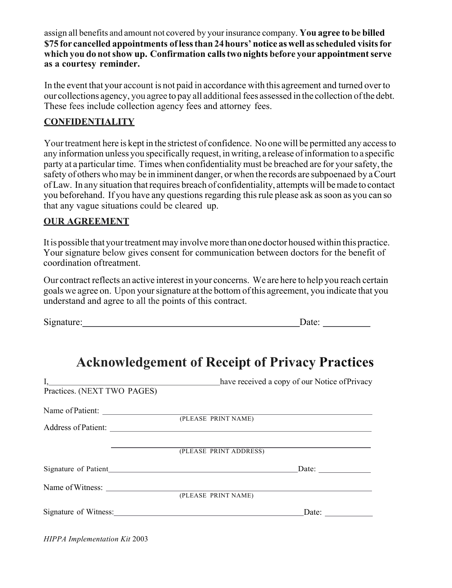assign all benefits and amount not covered by yourinsurance company. **You agree to be billed \$75 for cancelled appointments oflessthan 24hours' notice aswell asscheduled visitsfor which you do notshow up. Confirmation callstwo nights before your appointmentserve as a courtesy reminder.**

In the event that your account is not paid in accordance with this agreement and turned over to our collections agency, you agree to pay all additional fees assessed in the collection ofthe debt. These fees include collection agency fees and attorney fees.

### **CONFIDENTIALITY**

Your treatment here is kept in the strictest of confidence. No one will be permitted any access to any information unless you specifically request, inwriting, a release ofinformation to a specific party at a particular time. Times when confidentiality must be breached are for yoursafety, the safety of others who may be in imminent danger, or when the records are subpoenaed by a Court of Law. In any situation that requires breach of confidentiality, attempts will be made to contact you beforehand. If you have any questions regarding thisrule please ask assoon as you can so that any vague situations could be cleared up.

### **OUR AGREEMENT**

It is possible that your treatment may involve more than one doctor housed within this practice. Your signature below gives consent for communication between doctors for the benefit of coordination oftreatment.

Our contract reflects an active interest in your concerns. We are here to help you reach certain goals we agree on. Upon yoursignature at the bottom ofthis agreement, you indicate that you understand and agree to all the points of this contract.

Signature: Date: Date:

| have received a copy of our Notice of Privacy |
|-----------------------------------------------|
|                                               |
|                                               |
| (PLEASE PRINT NAME)                           |
|                                               |
|                                               |
| (PLEASE PRINT ADDRESS)                        |
| Date:                                         |
|                                               |
| (PLEASE PRINT NAME)                           |
| Signature of Witness:<br>Date:                |
|                                               |

# **Acknowledgement of Receipt of Privacy Practices**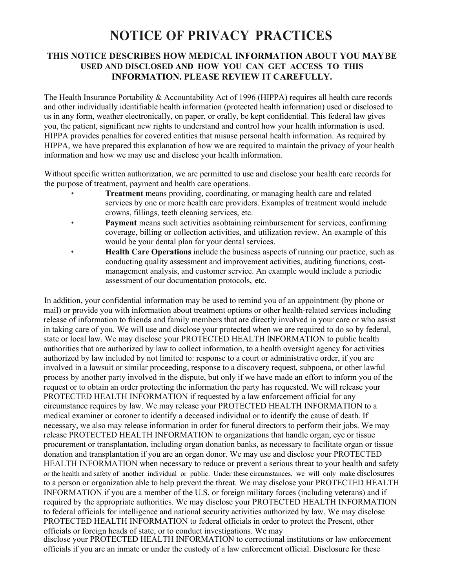# **NOTICE OF PRIVACY PRACTICES**

#### **THIS NOTICE DESCRIBES HOW MEDICAL INFORMATION ABOUT YOU MAYBE USED AND DISCLOSED AND HOW YOU CAN GET ACCESS TO THIS INFORMATION. PLEASE REVIEW IT CAREFULLY.**

The Health Insurance Portability & Accountability Act of 1996 (HIPPA) requires all health care records and other individually identifiable health information (protected health information) used or disclosed to us in any form, weather electronically, on paper, or orally, be kept confidential. This federal law gives you, the patient, significant new rights to understand and control how your health information is used. HIPPA provides penalties for covered entities that misuse personal health information. As required by HIPPA, we have prepared this explanation of how we are required to maintain the privacy of your health information and how we may use and disclose your health information.

Without specific written authorization, we are permitted to use and disclose your health care records for the purpose of treatment, payment and health care operations.

- **Treatment** means providing, coordinating, or managing health care and related services by one or more health care providers. Examples of treatment would include crowns, fillings, teeth cleaning services, etc.
- Payment means such activities asobtaining reimbursement for services, confirming coverage, billing or collection activities, and utilization review. An example of this would be your dental plan for your dental services.
- **Health Care Operations** include the business aspects of running our practice, such as conducting quality assessment and improvement activities, auditing functions, costmanagement analysis, and customer service. An example would include a periodic assessment of our documentation protocols, etc.

In addition, your confidential information may be used to remind you of an appointment (by phone or mail) or provide you with information about treatment options or other health-related services including release of information to friends and family members that are directly involved in your care or who assist in taking care of you. We will use and disclose your protected when we are required to do so by federal, state or local law. We may disclose your PROTECTED HEALTH lNFORMATION to public health authorities that are authorized by law to collect information, to a health oversight agency for activities authorized by law included by not limited to: response to a court or administrative order, if you are involved in a lawsuit or similar proceeding, response to a discovery request, subpoena, or other lawful process by another party involved in the dispute, but only if we have made an effort to inform you of the request or to obtain an order protecting the information the party has requested. We will release your PROTECTED HEALTH INFORMATION if requested by a law enforcement official for any circumstance requires by law. We may release your PROTECTED HEALTH INFORMATION to a medical examiner or coroner to identify a deceased individual or to identify the cause of death. If necessary, we also may release information in order for funeral directors to perform their jobs. We may release PROTECTED HEALTH INFORMATION to organizations that handle organ, eye or tissue procurement or transplantation, including organ donation banks, as necessary to facilitate organ or tissue donation and transplantation if you are an organ donor. We may use and disclose your PROTECTED HEALTH INFORMATION when necessary to reduce or prevent a serious threat to your health and safety or the health and safety of another individual or public. Under these circumstances, we will only make disclosures to a person or organization able to help prevent the threat. We may disclose your PROTECTED HEALTH INFORMATION if you are a member of the U.S. or foreign military forces (including veterans) and if required by the appropriate authorities. We may disclose your PROTECTED HEALTH INFORMATION to federal officials for intelligence and national security activities authorized by law. We may disclose PROTECTED HEALTH INFORMATION to federal officials in order to protect the Present, other officials or foreign heads of state, or to conduct investigations. We may

disclose your PROTECTED HEALTH INFORMATION to correctional institutions or law enforcement officials if you are an inmate or under the custody of a law enforcement official. Disclosure for these